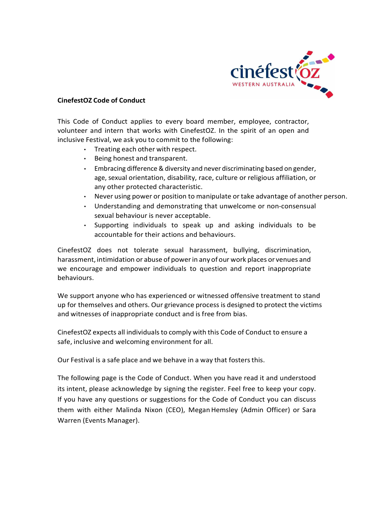

## CinefestOZ Code of Conduct

This Code of Conduct applies to every board member, employee, contractor, volunteer and intern that works with CinefestOZ. In the spirit of an open and inclusive Festival, we ask you to commit to the following:

- Treating each other with respect.
- Being honest and transparent.
- Embracing difference & diversity and never discriminating based on gender, age, sexual orientation, disability, race, culture or religious affiliation, or any other protected characteristic.
- Never using power or position to manipulate or take advantage of another person.
- Understanding and demonstrating that unwelcome or non-consensual sexual behaviour is never acceptable.
- Supporting individuals to speak up and asking individuals to be accountable for their actions and behaviours.

CinefestOZ does not tolerate sexual harassment, bullying, discrimination, harassment, intimidation or abuse of power in any of our work places or venues and we encourage and empower individuals to question and report inappropriate behaviours.

We support anyone who has experienced or witnessed offensive treatment to stand up for themselves and others. Our grievance process is designed to protect the victims and witnesses of inappropriate conduct and is free from bias.

CinefestOZ expects all individuals to comply with this Code of Conduct to ensure a safe, inclusive and welcoming environment for all.

Our Festival is a safe place and we behave in a way that fosters this.

The following page is the Code of Conduct. When you have read it and understood its intent, please acknowledge by signing the register. Feel free to keep your copy. If you have any questions or suggestions for the Code of Conduct you can discuss them with either Malinda Nixon (CEO), Megan Hemsley (Admin Officer) or Sara Warren (Events Manager).